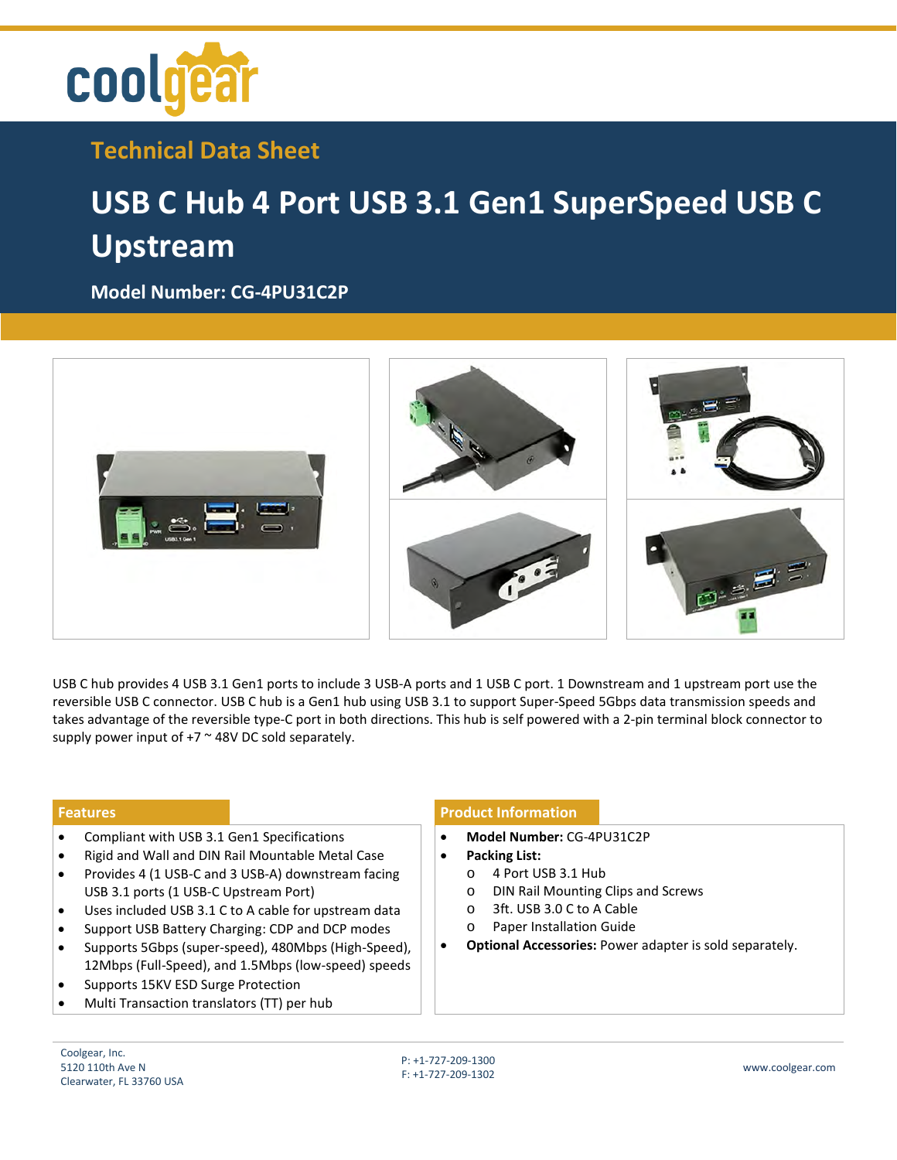

**Technical Data Sheet**

## **USB C Hub 4 Port USB 3.1 Gen1 SuperSpeed USB C Upstream**

**Model Number: [CG-4PU31C2P](https://www.coolgear.com/product/usb-c-hub-4-port-usb-3-1-gen1-superspeed-usb-c-upstream)**



USB C hub provides 4 USB 3.1 Gen1 ports to include 3 USB-A ports and 1 USB C port. 1 Downstream and 1 upstream port use the reversible USB C connector. USB C hub is a Gen1 hub using USB 3.1 to support Super-Speed 5Gbps data transmission speeds and takes advantage of the reversible type-C port in both directions. This hub is self powered with a 2-pin terminal block connector to supply power input of  $+7$   $\sim$  48V DC sold separately.

- Compliant with USB 3.1 Gen1 Specifications
- Rigid and Wall and DIN Rail Mountable Metal Case
- Provides 4 (1 USB-C and 3 USB-A) downstream facing USB 3.1 ports (1 USB-C Upstream Port)
- Uses included USB 3.1 C to A cable for upstream data
- Support USB Battery Charging: CDP and DCP modes
- Supports 5Gbps (super-speed), 480Mbps (High-Speed), 12Mbps (Full-Speed), and 1.5Mbps (low-speed) speeds
- Supports 15KV ESD Surge Protection
- Multi Transaction translators (TT) per hub

## **Features Product Information**

- **Model Number:** CG-4PU31C2P
- **Packing List:** 
	- o 4 Port USB 3.1 Hub
	- o DIN Rail Mounting Clips and Screws
	- o 3ft. USB 3.0 C to A Cable
	- Paper Installation Guide
- **Optional Accessories:** Power adapter is sold separately.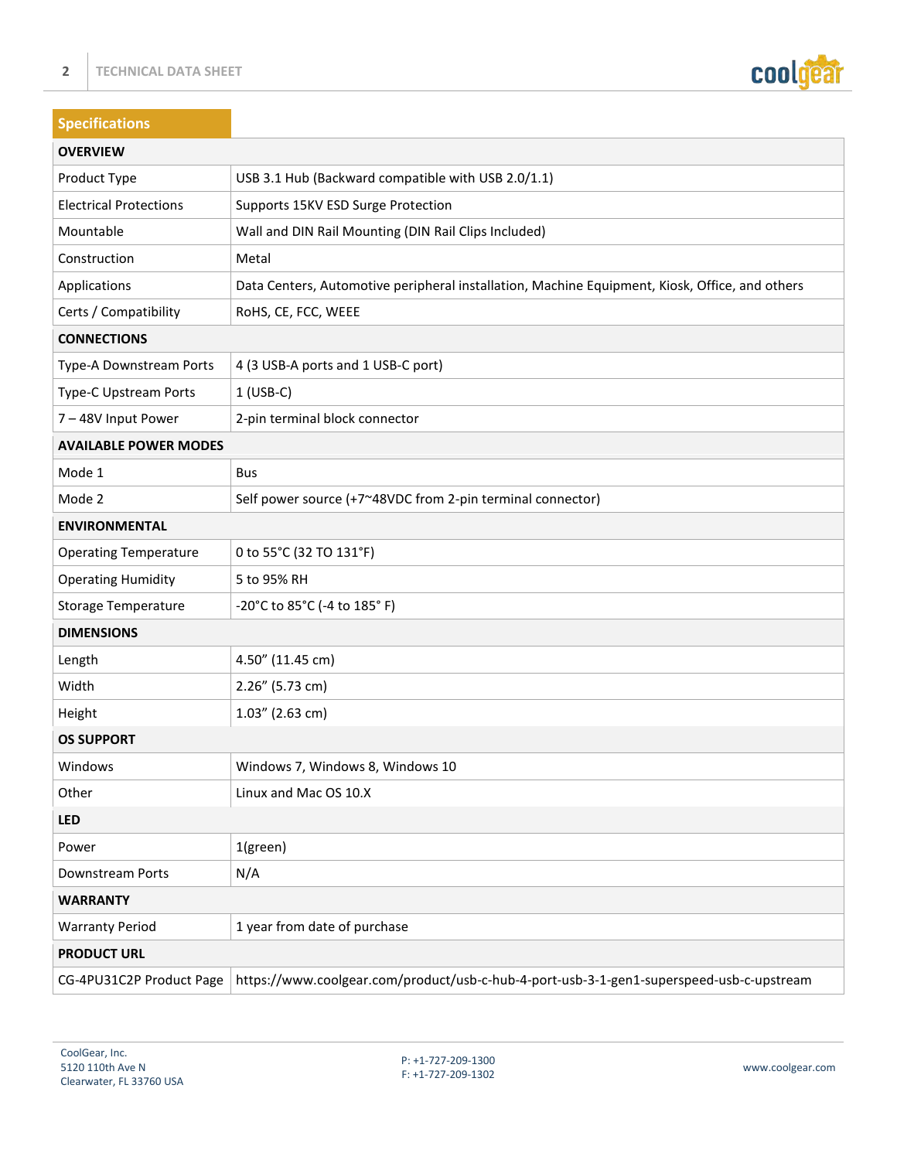

| <b>Specifications</b>         |                                                                                                |
|-------------------------------|------------------------------------------------------------------------------------------------|
| <b>OVERVIEW</b>               |                                                                                                |
| Product Type                  | USB 3.1 Hub (Backward compatible with USB 2.0/1.1)                                             |
| <b>Electrical Protections</b> | Supports 15KV ESD Surge Protection                                                             |
| Mountable                     | Wall and DIN Rail Mounting (DIN Rail Clips Included)                                           |
| Construction                  | Metal                                                                                          |
| Applications                  | Data Centers, Automotive peripheral installation, Machine Equipment, Kiosk, Office, and others |
| Certs / Compatibility         | RoHS, CE, FCC, WEEE                                                                            |
| <b>CONNECTIONS</b>            |                                                                                                |
| Type-A Downstream Ports       | 4 (3 USB-A ports and 1 USB-C port)                                                             |
| Type-C Upstream Ports         | $1$ (USB-C)                                                                                    |
| 7-48V Input Power             | 2-pin terminal block connector                                                                 |
| <b>AVAILABLE POWER MODES</b>  |                                                                                                |
| Mode 1                        | Bus                                                                                            |
| Mode 2                        | Self power source (+7~48VDC from 2-pin terminal connector)                                     |
| <b>ENVIRONMENTAL</b>          |                                                                                                |
| <b>Operating Temperature</b>  | 0 to 55°C (32 TO 131°F)                                                                        |
| <b>Operating Humidity</b>     | 5 to 95% RH                                                                                    |
| <b>Storage Temperature</b>    | -20°C to 85°C (-4 to 185°F)                                                                    |
| <b>DIMENSIONS</b>             |                                                                                                |
| Length                        | 4.50" (11.45 cm)                                                                               |
| Width                         | 2.26" (5.73 cm)                                                                                |
| Height                        | $1.03''$ (2.63 cm)                                                                             |
| <b>OS SUPPORT</b>             |                                                                                                |
| Windows                       | Windows 7, Windows 8, Windows 10                                                               |
| Other                         | Linux and Mac OS 10.X                                                                          |
| LED                           |                                                                                                |
| Power                         | 1(green)                                                                                       |
| Downstream Ports              | N/A                                                                                            |
| <b>WARRANTY</b>               |                                                                                                |
| <b>Warranty Period</b>        | 1 year from date of purchase                                                                   |
| <b>PRODUCT URL</b>            |                                                                                                |
| CG-4PU31C2P Product Page      | https://www.coolgear.com/product/usb-c-hub-4-port-usb-3-1-gen1-superspeed-usb-c-upstream       |